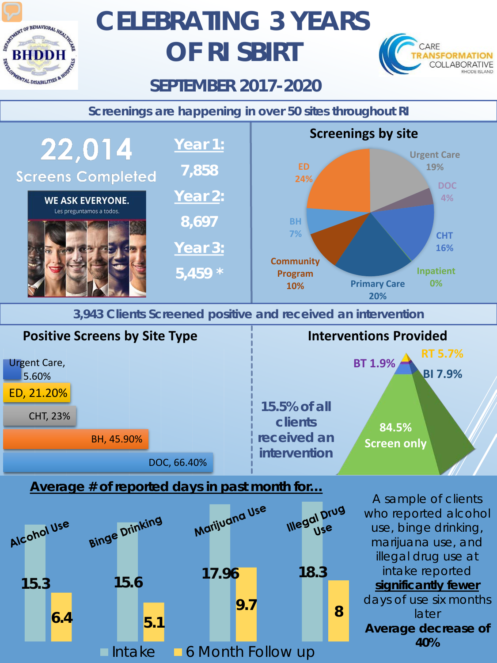

# **CELEBRATING 3 YEARS OF RI SBIRT**



### **SEPTEMBER 2017-2020**

**Screenings are happening in over 50 sites throughout RI**



**3,943 Clients Screened positive and received an intervention**



#### **Average # of reported days in past month for…**



A sample of clients who reported alcohol use, binge drinking, marijuana use, and illegal drug use at intake reported *significantly fewer* days of use six months later **Average decrease of 40%**